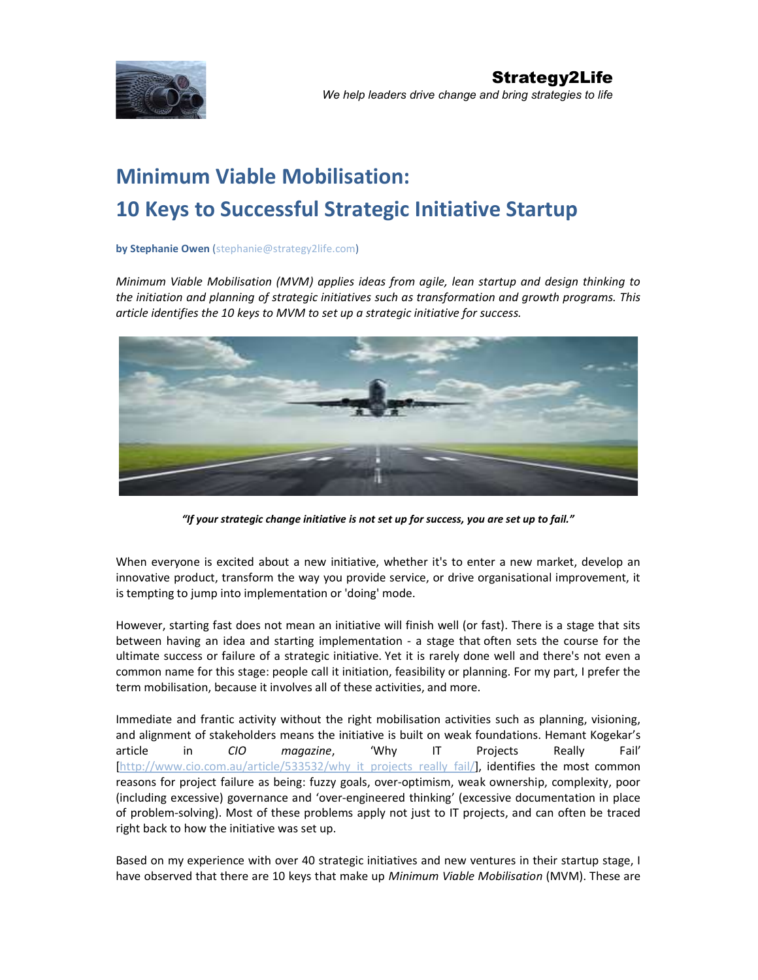

# Minimum Viable Mobilisation: 10 Keys to Successful Strategic Initiative Startup

## by Stephanie Owen (stephanie@strategy2life.com)

Minimum Viable Mobilisation (MVM) applies ideas from agile, lean startup and design thinking to the initiation and planning of strategic initiatives such as transformation and growth programs. This article identifies the 10 keys to MVM to set up a strategic initiative for success.



"If your strategic change initiative is not set up for success, you are set up to fail."

When everyone is excited about a new initiative, whether it's to enter a new market, develop an innovative product, transform the way you provide service, or drive organisational improvement, it is tempting to jump into implementation or 'doing' mode.

However, starting fast does not mean an initiative will finish well (or fast). There is a stage that sits between having an idea and starting implementation - a stage that often sets the course for the ultimate success or failure of a strategic initiative. Yet it is rarely done well and there's not even a common name for this stage: people call it initiation, feasibility or planning. For my part, I prefer the term mobilisation, because it involves all of these activities, and more.

Immediate and frantic activity without the right mobilisation activities such as planning, visioning, and alignment of stakeholders means the initiative is built on weak foundations. Hemant Kogekar's article in CIO magazine, 'Why IT Projects Really Fail' http://www.cio.com.au/article/533532/why\_it\_projects\_really\_fail/], identifies the most common reasons for project failure as being: fuzzy goals, over-optimism, weak ownership, complexity, poor (including excessive) governance and 'over-engineered thinking' (excessive documentation in place of problem-solving). Most of these problems apply not just to IT projects, and can often be traced right back to how the initiative was set up.

Based on my experience with over 40 strategic initiatives and new ventures in their startup stage, I have observed that there are 10 keys that make up Minimum Viable Mobilisation (MVM). These are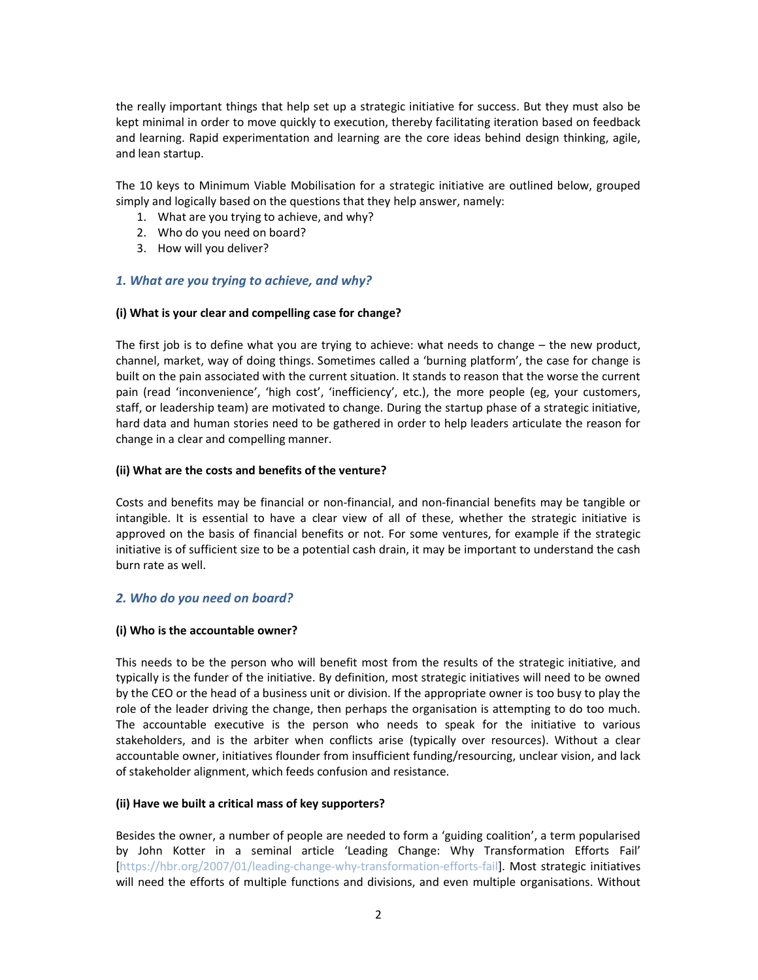the really important things that help set up a strategic initiative for success. But they must also be kept minimal in order to move quickly to execution, thereby facilitating iteration based on feedback and learning. Rapid experimentation and learning are the core ideas behind design thinking, agile, and lean startup.

The 10 keys to Minimum Viable Mobilisation for a strategic initiative are outlined below, grouped simply and logically based on the questions that they help answer, namely:

- 1. What are you trying to achieve, and why?
- 2. Who do you need on board?
- 3. How will you deliver?

# 1. What are you trying to achieve, and why?

# (i) What is your clear and compelling case for change?

The first job is to define what you are trying to achieve: what needs to change – the new product, channel, market, way of doing things. Sometimes called a 'burning platform', the case for change is built on the pain associated with the current situation. It stands to reason that the worse the current pain (read 'inconvenience', 'high cost', 'inefficiency', etc.), the more people (eg, your customers, staff, or leadership team) are motivated to change. During the startup phase of a strategic initiative, hard data and human stories need to be gathered in order to help leaders articulate the reason for change in a clear and compelling manner.

# (ii) What are the costs and benefits of the venture?

Costs and benefits may be financial or non-financial, and non-financial benefits may be tangible or intangible. It is essential to have a clear view of all of these, whether the strategic initiative is approved on the basis of financial benefits or not. For some ventures, for example if the strategic initiative is of sufficient size to be a potential cash drain, it may be important to understand the cash burn rate as well.

# 2. Who do you need on board?

## (i) Who is the accountable owner?

This needs to be the person who will benefit most from the results of the strategic initiative, and typically is the funder of the initiative. By definition, most strategic initiatives will need to be owned by the CEO or the head of a business unit or division. If the appropriate owner is too busy to play the role of the leader driving the change, then perhaps the organisation is attempting to do too much. The accountable executive is the person who needs to speak for the initiative to various stakeholders, and is the arbiter when conflicts arise (typically over resources). Without a clear accountable owner, initiatives flounder from insufficient funding/resourcing, unclear vision, and lack of stakeholder alignment, which feeds confusion and resistance.

# (ii) Have we built a critical mass of key supporters?

Besides the owner, a number of people are needed to form a 'guiding coalition', a term popularised by John Kotter in a seminal article 'Leading Change: Why Transformation Efforts Fail' [https://hbr.org/2007/01/leading-change-why-transformation-efforts-fail]. Most strategic initiatives will need the efforts of multiple functions and divisions, and even multiple organisations. Without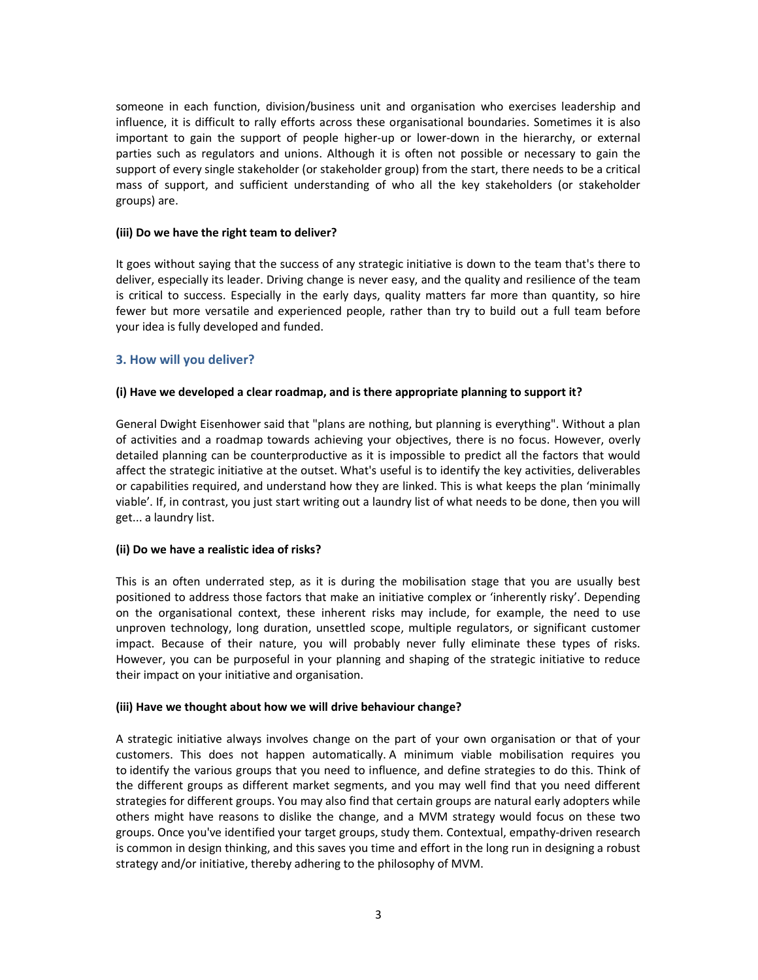someone in each function, division/business unit and organisation who exercises leadership and influence, it is difficult to rally efforts across these organisational boundaries. Sometimes it is also important to gain the support of people higher-up or lower-down in the hierarchy, or external parties such as regulators and unions. Although it is often not possible or necessary to gain the support of every single stakeholder (or stakeholder group) from the start, there needs to be a critical mass of support, and sufficient understanding of who all the key stakeholders (or stakeholder groups) are.

# (iii) Do we have the right team to deliver?

It goes without saying that the success of any strategic initiative is down to the team that's there to deliver, especially its leader. Driving change is never easy, and the quality and resilience of the team is critical to success. Especially in the early days, quality matters far more than quantity, so hire fewer but more versatile and experienced people, rather than try to build out a full team before your idea is fully developed and funded.

# 3. How will you deliver?

# (i) Have we developed a clear roadmap, and is there appropriate planning to support it?

General Dwight Eisenhower said that "plans are nothing, but planning is everything". Without a plan of activities and a roadmap towards achieving your objectives, there is no focus. However, overly detailed planning can be counterproductive as it is impossible to predict all the factors that would affect the strategic initiative at the outset. What's useful is to identify the key activities, deliverables or capabilities required, and understand how they are linked. This is what keeps the plan 'minimally viable'. If, in contrast, you just start writing out a laundry list of what needs to be done, then you will get... a laundry list.

# (ii) Do we have a realistic idea of risks?

This is an often underrated step, as it is during the mobilisation stage that you are usually best positioned to address those factors that make an initiative complex or 'inherently risky'. Depending on the organisational context, these inherent risks may include, for example, the need to use unproven technology, long duration, unsettled scope, multiple regulators, or significant customer impact. Because of their nature, you will probably never fully eliminate these types of risks. However, you can be purposeful in your planning and shaping of the strategic initiative to reduce their impact on your initiative and organisation.

# (iii) Have we thought about how we will drive behaviour change?

A strategic initiative always involves change on the part of your own organisation or that of your customers. This does not happen automatically. A minimum viable mobilisation requires you to identify the various groups that you need to influence, and define strategies to do this. Think of the different groups as different market segments, and you may well find that you need different strategies for different groups. You may also find that certain groups are natural early adopters while others might have reasons to dislike the change, and a MVM strategy would focus on these two groups. Once you've identified your target groups, study them. Contextual, empathy-driven research is common in design thinking, and this saves you time and effort in the long run in designing a robust strategy and/or initiative, thereby adhering to the philosophy of MVM.